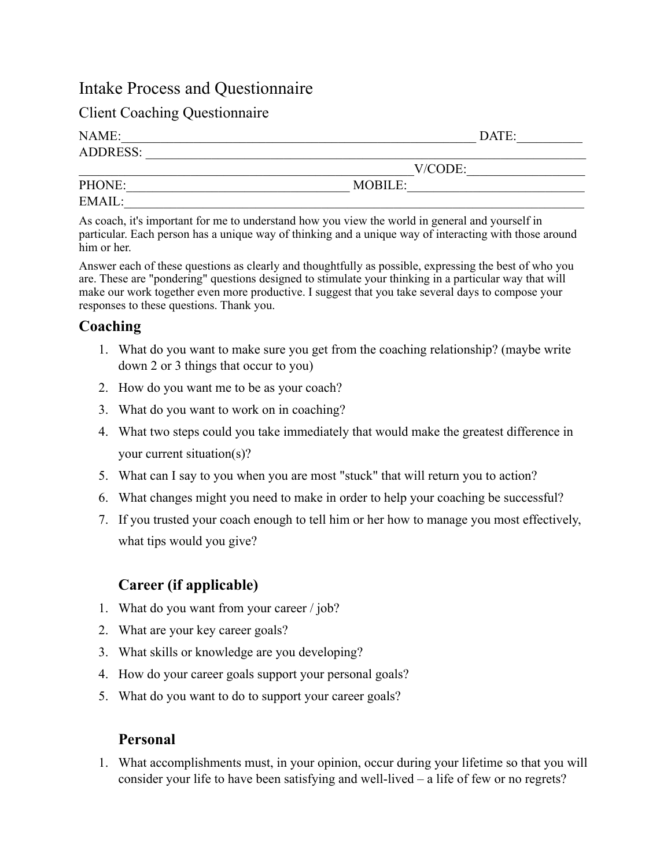# Intake Process and Questionnaire

# Client Coaching Questionnaire

| NAME:           | DATE:   |  |
|-----------------|---------|--|
| <b>ADDRESS:</b> |         |  |
|                 | V/CODE: |  |
| PHONE:          | MOBILE: |  |
| EMAIL:          |         |  |

As coach, it's important for me to understand how you view the world in general and yourself in particular. Each person has a unique way of thinking and a unique way of interacting with those around him or her.

Answer each of these questions as clearly and thoughtfully as possible, expressing the best of who you are. These are "pondering" questions designed to stimulate your thinking in a particular way that will make our work together even more productive. I suggest that you take several days to compose your responses to these questions. Thank you.

#### **Coaching**

- 1. What do you want to make sure you get from the coaching relationship? (maybe write down 2 or 3 things that occur to you)
- 2. How do you want me to be as your coach?
- 3. What do you want to work on in coaching?
- 4. What two steps could you take immediately that would make the greatest difference in your current situation(s)?
- 5. What can I say to you when you are most "stuck" that will return you to action?
- 6. What changes might you need to make in order to help your coaching be successful?
- 7. If you trusted your coach enough to tell him or her how to manage you most effectively, what tips would you give?

# **Career (if applicable)**

- 1. What do you want from your career / job?
- 2. What are your key career goals?
- 3. What skills or knowledge are you developing?
- 4. How do your career goals support your personal goals?
- 5. What do you want to do to support your career goals?

## **Personal**

1. What accomplishments must, in your opinion, occur during your lifetime so that you will consider your life to have been satisfying and well-lived – a life of few or no regrets?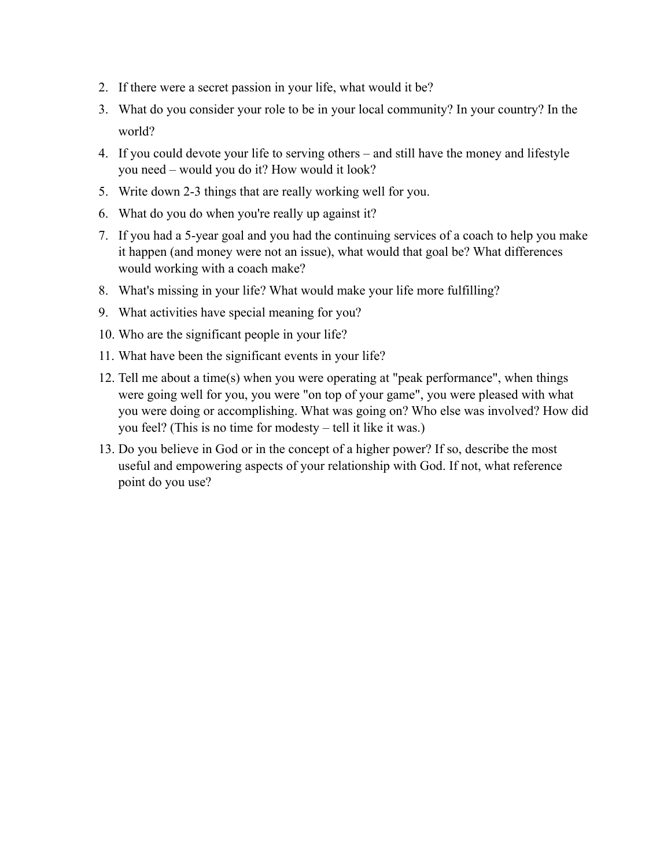- 2. If there were a secret passion in your life, what would it be?
- 3. What do you consider your role to be in your local community? In your country? In the world?
- 4. If you could devote your life to serving others and still have the money and lifestyle you need – would you do it? How would it look?
- 5. Write down 2-3 things that are really working well for you.
- 6. What do you do when you're really up against it?
- 7. If you had a 5-year goal and you had the continuing services of a coach to help you make it happen (and money were not an issue), what would that goal be? What differences would working with a coach make?
- 8. What's missing in your life? What would make your life more fulfilling?
- 9. What activities have special meaning for you?
- 10. Who are the significant people in your life?
- 11. What have been the significant events in your life?
- 12. Tell me about a time(s) when you were operating at "peak performance", when things were going well for you, you were "on top of your game", you were pleased with what you were doing or accomplishing. What was going on? Who else was involved? How did you feel? (This is no time for modesty – tell it like it was.)
- 13. Do you believe in God or in the concept of a higher power? If so, describe the most useful and empowering aspects of your relationship with God. If not, what reference point do you use?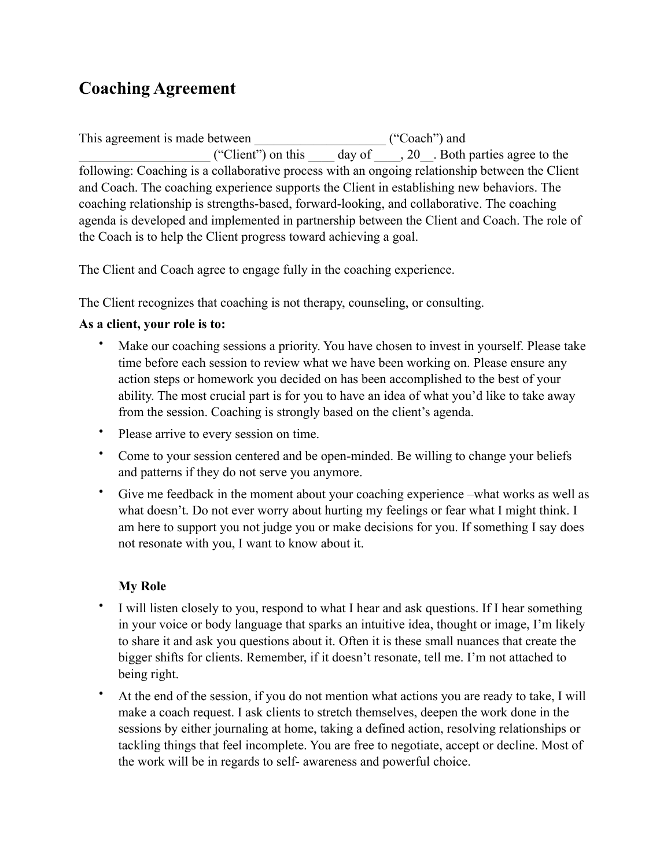# **Coaching Agreement**

This agreement is made between \_\_\_\_\_\_\_\_\_\_\_\_\_\_\_\_\_\_\_\_ ("Coach") and ("Client") on this \_\_\_\_\_\_ day of \_\_\_\_, 20\_\_. Both parties agree to the following: Coaching is a collaborative process with an ongoing relationship between the Client and Coach. The coaching experience supports the Client in establishing new behaviors. The coaching relationship is strengths-based, forward-looking, and collaborative. The coaching agenda is developed and implemented in partnership between the Client and Coach. The role of the Coach is to help the Client progress toward achieving a goal.

The Client and Coach agree to engage fully in the coaching experience.

The Client recognizes that coaching is not therapy, counseling, or consulting.

#### **As a client, your role is to:**

- Make our coaching sessions a priority. You have chosen to invest in yourself. Please take time before each session to review what we have been working on. Please ensure any action steps or homework you decided on has been accomplished to the best of your ability. The most crucial part is for you to have an idea of what you'd like to take away from the session. Coaching is strongly based on the client's agenda.
- Please arrive to every session on time.
- Come to your session centered and be open-minded. Be willing to change your beliefs and patterns if they do not serve you anymore.
- Give me feedback in the moment about your coaching experience –what works as well as what doesn't. Do not ever worry about hurting my feelings or fear what I might think. I am here to support you not judge you or make decisions for you. If something I say does not resonate with you, I want to know about it.

## **My Role**

- I will listen closely to you, respond to what I hear and ask questions. If I hear something in your voice or body language that sparks an intuitive idea, thought or image, I'm likely to share it and ask you questions about it. Often it is these small nuances that create the bigger shifts for clients. Remember, if it doesn't resonate, tell me. I'm not attached to being right.
- At the end of the session, if you do not mention what actions you are ready to take, I will make a coach request. I ask clients to stretch themselves, deepen the work done in the sessions by either journaling at home, taking a defined action, resolving relationships or tackling things that feel incomplete. You are free to negotiate, accept or decline. Most of the work will be in regards to self- awareness and powerful choice.